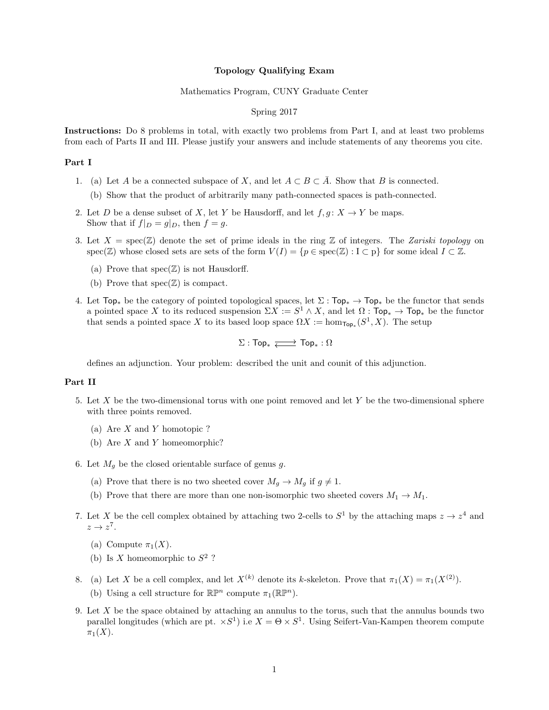#### Topology Qualifying Exam

### Mathematics Program, CUNY Graduate Center

# Spring 2017

Instructions: Do 8 problems in total, with exactly two problems from Part I, and at least two problems from each of Parts II and III. Please justify your answers and include statements of any theorems you cite.

# Part I

- 1. (a) Let A be a connected subspace of X, and let  $A \subset B \subset \overline{A}$ . Show that B is connected.
	- (b) Show that the product of arbitrarily many path-connected spaces is path-connected.
- 2. Let D be a dense subset of X, let Y be Hausdorff, and let  $f, g: X \to Y$  be maps. Show that if  $f|_D = g|_D$ , then  $f = g$ .
- 3. Let  $X = \text{spec}(\mathbb{Z})$  denote the set of prime ideals in the ring  $\mathbb{Z}$  of integers. The Zariski topology on spec(Z) whose closed sets are sets of the form  $V(I) = \{p \in \text{spec}(\mathbb{Z}) : I \subset p\}$  for some ideal  $I \subset \mathbb{Z}$ .
	- (a) Prove that  $spec(\mathbb{Z})$  is not Hausdorff.
	- (b) Prove that  $spec(\mathbb{Z})$  is compact.
- 4. Let  $Top_*$  be the category of pointed topological spaces, let  $\Sigma : Top_* \to Top_*$  be the functor that sends a pointed space X to its reduced suspension  $\Sigma X := S^1 \wedge X$ , and let  $\Omega : \mathsf{Top}_* \to \mathsf{Top}_*$  be the functor that sends a pointed space X to its based loop space  $\Omega X := \hom_{\mathsf{Top}_*}(S^1, X)$ . The setup

$$
\Sigma: \mathsf{Top}_* \xrightarrow{\longrightarrow} \mathsf{Top}_*: \Omega
$$

defines an adjunction. Your problem: described the unit and counit of this adjunction.

## Part II

- 5. Let X be the two-dimensional torus with one point removed and let Y be the two-dimensional sphere with three points removed.
	- (a) Are X and Y homotopic ?
	- (b) Are  $X$  and  $Y$  homeomorphic?
- 6. Let  $M<sub>g</sub>$  be the closed orientable surface of genus g.
	- (a) Prove that there is no two sheeted cover  $M_q \to M_q$  if  $q \neq 1$ .
	- (b) Prove that there are more than one non-isomorphic two sheeted covers  $M_1 \rightarrow M_1$ .
- 7. Let X be the cell complex obtained by attaching two 2-cells to  $S^1$  by the attaching maps  $z \to z^4$  and  $z \to z^7$ .
	- (a) Compute  $\pi_1(X)$ .
	- (b) Is X homeomorphic to  $S^2$  ?
- 8. (a) Let X be a cell complex, and let  $X^{(k)}$  denote its k-skeleton. Prove that  $\pi_1(X) = \pi_1(X^{(2)})$ . (b) Using a cell structure for  $\mathbb{R}\mathbb{P}^n$  compute  $\pi_1(\mathbb{R}\mathbb{P}^n)$ .
- 9. Let  $X$  be the space obtained by attaching an annulus to the torus, such that the annulus bounds two parallel longitudes (which are pt.  $\times S^1$ ) i.e  $X = \Theta \times S^1$ . Using Seifert-Van-Kampen theorem compute  $\pi_1(X)$ .